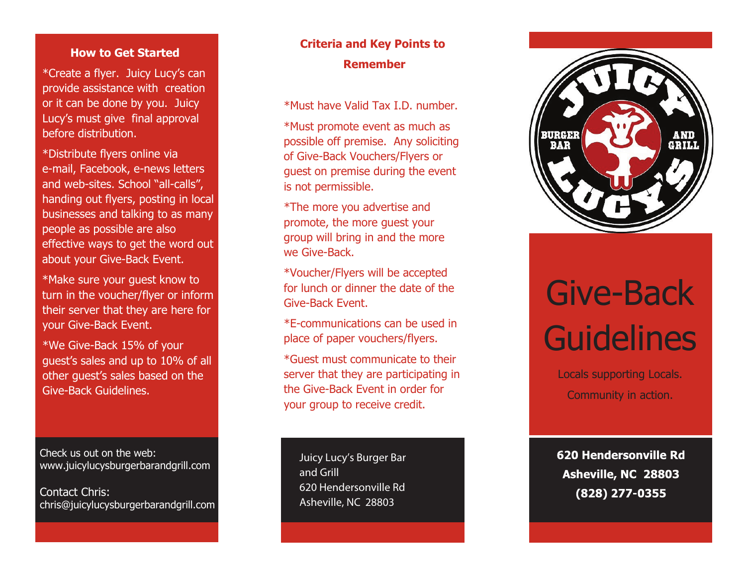#### **How to Get Started**

\*Cr eat e a fly e r . J uicy L ucy' s can p rovi d e ass i stanc e w i th crea tion o r i t c an b e done by you . J uicy Lucy's must give final approval before distribution.

\* Dis tribu t e fly e r s onl i n e vi a e-mail, Facebook, e-news letters and web-sites. School "all-calls", handing out flyers, posting in local businesses and talking to as many people as possible are also effective ways to get the word out about your Give-Back Event.

\*Make sure your guest know to turn in the voucher/flyer or inform their server that they are here for your Give-Back Event.

\*We G i v e - B ack 1 5% o f y our guest's sales and up to 10% of all other guest's sales based on the Give-Back Guidelines.

Check us out on the web: www.juicylucysburgerbarand gril l.com

Contact Chris: chris@juicylucysburgerbarandgrill.com

## **criteria and Key Points to Remember**

\*Mu s t h a v e V alid T a x I.D . number .

\*Must promote event as much as possible off premise. Any soliciting of Give-Back Vouchers/Flyers or guest on premise during the event is not permissible.

\* T h e m o r e y ou advert ise and promote, the more guest your group will bring in and the more we Give-Back.

\* Vouch er/ F l y e r s will b e accep t ed for lunch or dinner the date of the Give-Back Event.

\* E - c ommu nication s c an b e u s e d in place of paper vouchers/flyers.

\*Guest must communicate to their server that they are participating in the Give-Back Event in order for your group to receive credit.

**Juicy Lucy's Burger Bar** and Grill **620 H end e r s onvi l l e R d As h e v i lle , NC 2880 3**



# Gi ve-Back **Guidelines**

Locals supporting Locals. Community in action.

620 Hendersonville Rd Asheville, NC 28803 (828) 277-0355